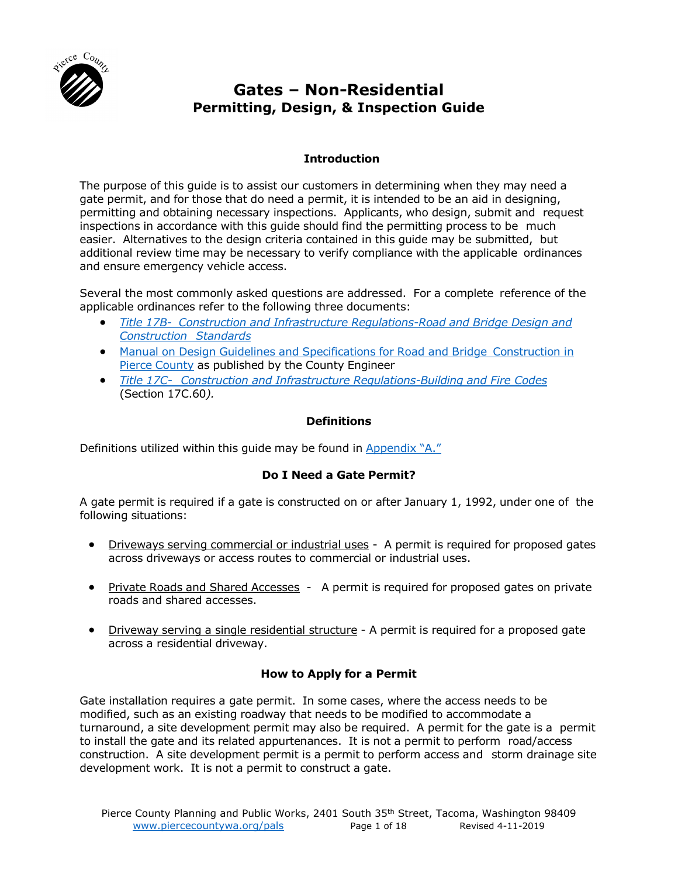

# **Gates – Non-Residential Permitting, Design, & Inspection Guide**

# **Introduction**

The purpose of this guide is to assist our customers in determining when they may need a gate permit, and for those that do need a permit, it is intended to be an aid in designing, permitting and obtaining necessary inspections. Applicants, who design, submit and request inspections in accordance with this guide should find the permitting process to be much easier. Alternatives to the design criteria contained in this guide may be submitted, but additional review time may be necessary to verify compliance with the applicable ordinances and ensure emergency vehicle access.

Several the most commonly asked questions are addressed. For a complete reference of the applicable ordinances refer to the following three documents:

- *Title 17B Construction and [Infrastructure Regulations-Road](http://www.codepublishing.com/WA/PierceCounty/#!/html/PierceCounty17B/PierceCounty17B.html) and Bridge Design and [Construction](http://www.codepublishing.com/WA/PierceCounty/#!/html/PierceCounty17B/PierceCounty17B.html) Standards*
- Manual on Design Guidelines and Specifications for Road and Bridge [Construction in](https://www.co.pierce.wa.us/6223/Design-Manual) Pierce [County](https://www.co.pierce.wa.us/6223/Design-Manual) as published by the County Engineer
- *Title 17C- Construction and [Infrastructure Regulations-Building](http://www.codepublishing.com/WA/PierceCounty/#!/html/PierceCounty17C/PierceCounty17C.html) and Fire Codes* (Section 17C.60*).*

# **Definitions**

Definitions utilized within this guide may be found in [Appendix](#page-8-0) "A."

# **Do I Need a Gate Permit?**

A gate permit is required if a gate is constructed on or after January 1, 1992, under one of the following situations:

- Driveways serving commercial or industrial uses A permit is required for proposed gates across driveways or access routes to commercial or industrial uses.
- Private Roads and Shared Accesses A permit is required for proposed gates on private roads and shared accesses.
- Driveway serving a single residential structure A permit is required for a proposed gate across a residential driveway.

# **How to Apply for a Permit**

Gate installation requires a gate permit. In some cases, where the access needs to be modified, such as an existing roadway that needs to be modified to accommodate a turnaround, a site development permit may also be required. A permit for the gate is a permit to install the gate and its related appurtenances. It is not a permit to perform road/access construction. A site development permit is a permit to perform access and storm drainage site development work. It is not a permit to construct a gate.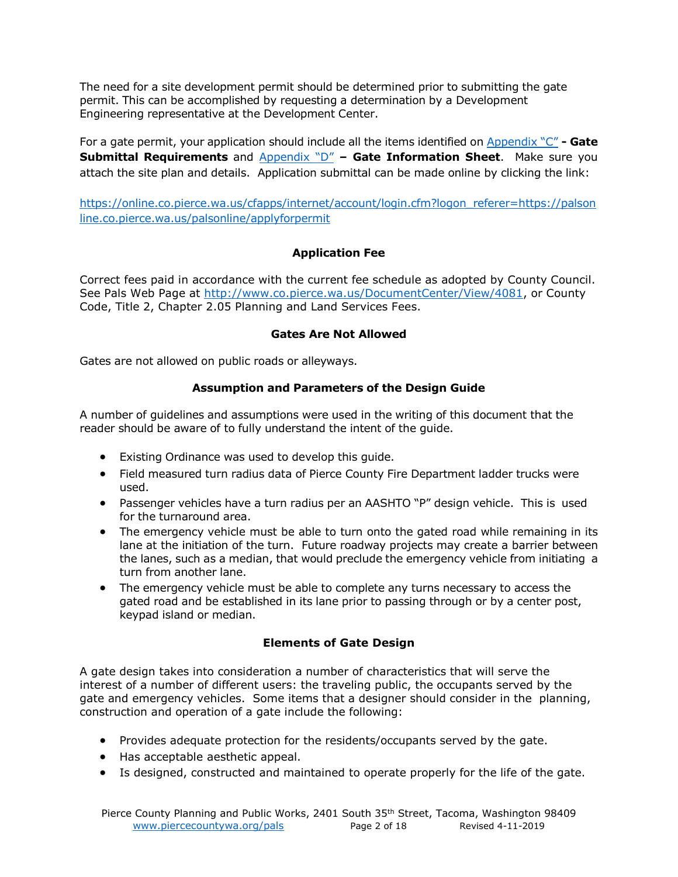The need for a site development permit should be determined prior to submitting the gate permit. This can be accomplished by requesting a determination by a Development Engineering representative at the Development Center.

For a gate permit, your application should include all the items identified on [Appendix "C"](#page-10-0) **- Gate Submittal Requirements** and **[Appendix "D"](#page-11-0) - Gate Information Sheet**. Make sure you attach the site plan and details. Application submittal can be made online by clicking the link:

[https://online.co.pierce.wa.us/cfapps/internet/account/login.cfm?logon\\_referer=https://palson](https://online.co.pierce.wa.us/cfapps/internet/account/login.cfm?logon_referer=https://palsonline.co.pierce.wa.us/palsonline/applyforpermit%20) [line.co.pierce.wa.us/palsonline/applyforpermit](https://online.co.pierce.wa.us/cfapps/internet/account/login.cfm?logon_referer=https://palsonline.co.pierce.wa.us/palsonline/applyforpermit%20)

# **Application Fee**

Correct fees paid in accordance with the current fee schedule as adopted by County Council. See Pals Web Page at [http://www.co.pierce.wa.us/DocumentCenter/View/4081,](http://www.co.pierce.wa.us/DocumentCenter/View/4081) or County Code, Title 2, Chapter 2.05 Planning and Land Services Fees.

#### **Gates Are Not Allowed**

Gates are not allowed on public roads or alleyways.

# **Assumption and Parameters of the Design Guide**

A number of guidelines and assumptions were used in the writing of this document that the reader should be aware of to fully understand the intent of the guide.

- Existing Ordinance was used to develop this guide.
- Field measured turn radius data of Pierce County Fire Department ladder trucks were used.
- Passenger vehicles have a turn radius per an AASHTO "P" design vehicle. This is used for the turnaround area.
- The emergency vehicle must be able to turn onto the gated road while remaining in its lane at the initiation of the turn. Future roadway projects may create a barrier between the lanes, such as a median, that would preclude the emergency vehicle from initiating a turn from another lane.
- The emergency vehicle must be able to complete any turns necessary to access the gated road and be established in its lane prior to passing through or by a center post, keypad island or median.

# **Elements of Gate Design**

A gate design takes into consideration a number of characteristics that will serve the interest of a number of different users: the traveling public, the occupants served by the gate and emergency vehicles. Some items that a designer should consider in the planning, construction and operation of a gate include the following:

- Provides adequate protection for the residents/occupants served by the gate.
- Has acceptable aesthetic appeal.
- Is designed, constructed and maintained to operate properly for the life of the gate.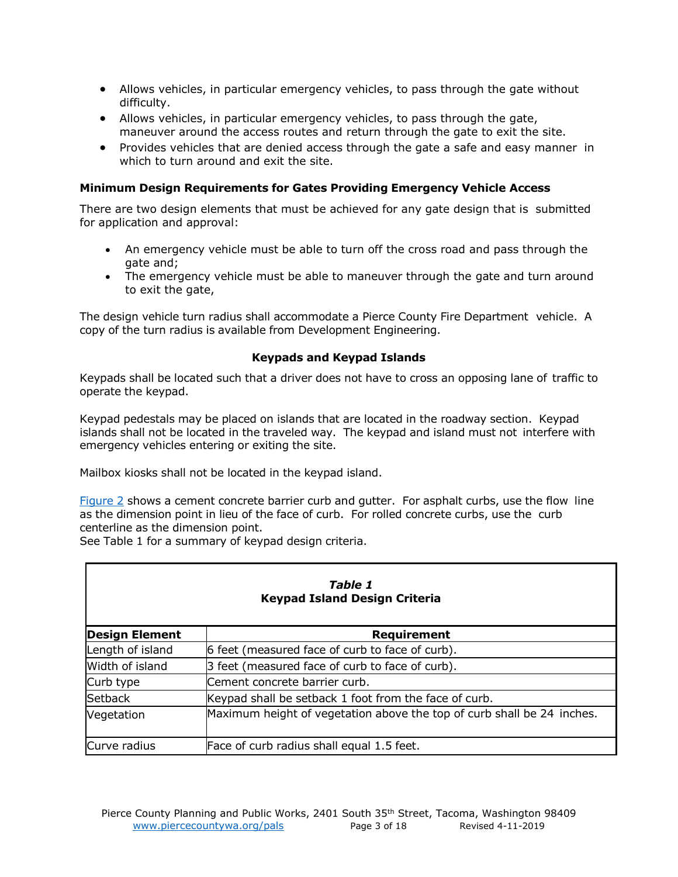- Allows vehicles, in particular emergency vehicles, to pass through the gate without difficulty.
- Allows vehicles, in particular emergency vehicles, to pass through the gate, maneuver around the access routes and return through the gate to exit the site.
- Provides vehicles that are denied access through the gate a safe and easy manner in which to turn around and exit the site.

#### **Minimum Design Requirements for Gates Providing Emergency Vehicle Access**

There are two design elements that must be achieved for any gate design that is submitted for application and approval:

- An emergency vehicle must be able to turn off the cross road and pass through the gate and;
- The emergency vehicle must be able to maneuver through the gate and turn around to exit the gate,

The design vehicle turn radius shall accommodate a Pierce County Fire Department vehicle. A copy of the turn radius is available from Development Engineering.

#### **Keypads and Keypad Islands**

Keypads shall be located such that a driver does not have to cross an opposing lane of traffic to operate the keypad.

Keypad pedestals may be placed on islands that are located in the roadway section. Keypad islands shall not be located in the traveled way. The keypad and island must not interfere with emergency vehicles entering or exiting the site.

Mailbox kiosks shall not be located in the keypad island.

[Figure](#page-14-0) 2 shows a cement concrete barrier curb and gutter. For asphalt curbs, use the flow line as the dimension point in lieu of the face of curb. For rolled concrete curbs, use the curb centerline as the dimension point.

See Table 1 for a summary of keypad design criteria.

| Table 1<br><b>Keypad Island Design Criteria</b> |                                                                        |  |  |  |  |
|-------------------------------------------------|------------------------------------------------------------------------|--|--|--|--|
| <b>Design Element</b>                           | <b>Requirement</b>                                                     |  |  |  |  |
| Length of island                                | 6 feet (measured face of curb to face of curb).                        |  |  |  |  |
| Width of island                                 | 3 feet (measured face of curb to face of curb).                        |  |  |  |  |
| Curb type                                       | Cement concrete barrier curb.                                          |  |  |  |  |
| <b>Setback</b>                                  | Keypad shall be setback 1 foot from the face of curb.                  |  |  |  |  |
| Vegetation                                      | Maximum height of vegetation above the top of curb shall be 24 inches. |  |  |  |  |
| Curve radius                                    | Face of curb radius shall equal 1.5 feet.                              |  |  |  |  |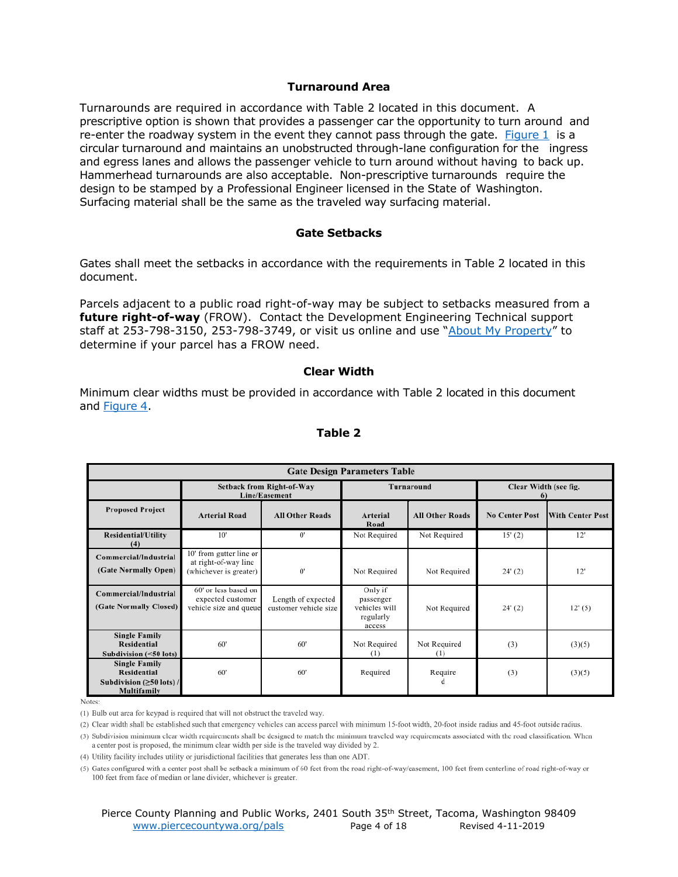#### **Turnaround Area**

Turnarounds are required in accordance with Table 2 located in this document. A prescriptive option is shown that provides a passenger car the opportunity to turn around and re-enter the roadway system in the event they cannot pass through the gate. [Figure](#page-13-0) 1 is a circular turnaround and maintains an unobstructed through-lane configuration for the ingress and egress lanes and allows the passenger vehicle to turn around without having to back up. Hammerhead turnarounds are also acceptable. Non-prescriptive turnarounds require the design to be stamped by a Professional Engineer licensed in the State of Washington. Surfacing material shall be the same as the traveled way surfacing material.

#### **Gate Setbacks**

Gates shall meet the setbacks in accordance with the requirements in Table 2 located in this document.

Parcels adjacent to a public road right-of-way may be subject to setbacks measured from a **future right-of-way** (FROW). Contact the Development Engineering Technical support staff at 253-798-3150, 253-798-3749, or visit us online and use "[About My Property](https://palsonline.co.pierce.wa.us/palsonline/#/AboutMyProperty)" to determine if your parcel has a FROW need.

#### **Clear Width**

Minimum clear widths must be provided in accordance with Table 2 located in this document and [Figure](#page-16-0) 4.

| <b>Gate Design Parameters Table</b>                                                         |                                                                           |                                             |                                                              |                        |                                   |                         |  |
|---------------------------------------------------------------------------------------------|---------------------------------------------------------------------------|---------------------------------------------|--------------------------------------------------------------|------------------------|-----------------------------------|-------------------------|--|
|                                                                                             | <b>Setback from Right-of-Way</b><br>Line/Easement                         |                                             | Turnaround                                                   |                        | Clear Width (see fig.<br>$\theta$ |                         |  |
| <b>Proposed Project</b>                                                                     | <b>Arterial Road</b>                                                      | <b>All Other Roads</b>                      | <b>Arterial</b><br>Road                                      | <b>All Other Roads</b> | <b>No Center Post</b>             | <b>With Center Post</b> |  |
| <b>Residential/Utility</b><br>(4)                                                           | 10'                                                                       | 0'                                          | Not Required                                                 | Not Required           | 15' (2)                           | 12'                     |  |
| Commercial/Industrial<br>(Gate Normally Open)                                               | 10' from gutter line or<br>at right-of-way line<br>(whichever is greater) | $\mathbf{0}$                                | Not Required                                                 | Not Required           | 24' (2)                           | 12'                     |  |
| Commercial/Industrial<br>(Gate Normally Closed)                                             | 60' or less based on<br>expected customer<br>vehicle size and queue       | Length of expected<br>customer vehicle size | Only if<br>passenger<br>vehicles will<br>regularly<br>access | Not Required           | 24' (2)                           | 12'(5)                  |  |
| <b>Single Family</b><br><b>Residential</b><br>Subdivision (<50 lots)                        | 60'                                                                       | 60'                                         | Not Required<br>(1)                                          | Not Required<br>(1)    | (3)                               | (3)(5)                  |  |
| <b>Single Family</b><br><b>Residential</b><br>Subdivision $(\geq 50$ lots) /<br>Multifamily | 60'                                                                       | 60'                                         | Required                                                     | Require<br>đ           | (3)                               | (3)(5)                  |  |

#### **Table 2**

Notes:

(2) Clear width shall be established such that emergency vehicles can access parcel with minimum 15-foot width, 20-foot inside radius and 45-foot outside radius.

(3) Subdivision minimum clear width requirements shall be designed to match the minimum traveled way requirements associated with the road classification. When a center post is proposed, the minimum clear width per side is the traveled way divided by 2.

(4) Utility facility includes utility or jurisdictional facilities that generates less than one ADT.

(5) Gates configured with a center post shall be setback a minimum of 60 feet from the road right-of-way/easement, 100 feet from centerline of road right-of-way or 100 feet from face of median or lane divider, whichever is greater.

<sup>(1)</sup> Bulb out area for keypad is required that will not obstruct the traveled way.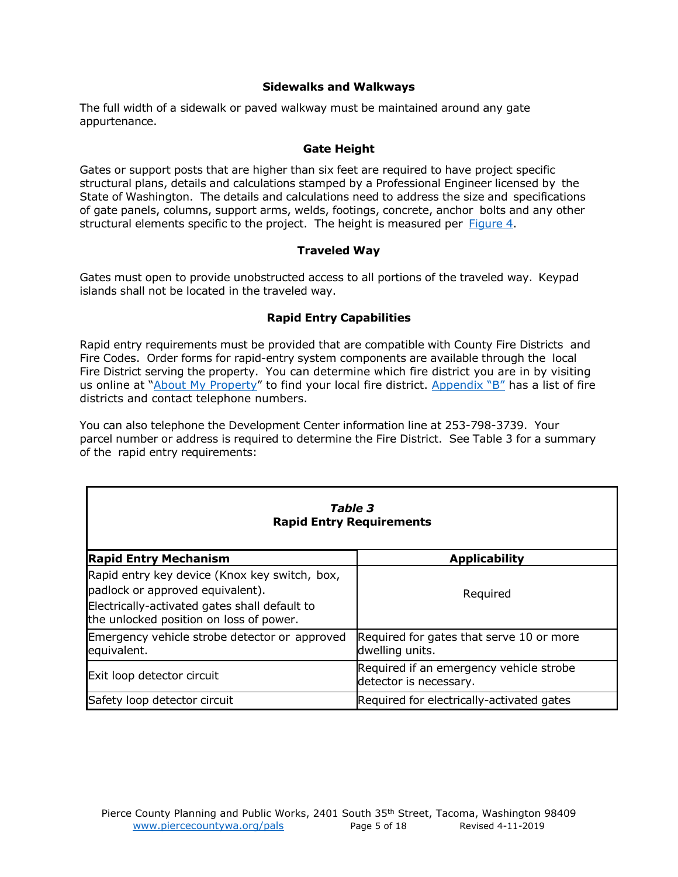#### **Sidewalks and Walkways**

The full width of a sidewalk or paved walkway must be maintained around any gate appurtenance.

#### **Gate Height**

Gates or support posts that are higher than six feet are required to have project specific structural plans, details and calculations stamped by a Professional Engineer licensed by the State of Washington. The details and calculations need to address the size and specifications of gate panels, columns, support arms, welds, footings, concrete, anchor bolts and any other structural elements specific to the project. The height is measured per [Figure](#page-16-0) 4.

#### **Traveled Way**

Gates must open to provide unobstructed access to all portions of the traveled way. Keypad islands shall not be located in the traveled way.

#### **Rapid Entry Capabilities**

Rapid entry requirements must be provided that are compatible with County Fire Districts and Fire Codes. Order forms for rapid-entry system components are available through the local Fire District serving the property. You can determine which fire district you are in by visiting us online at "[About My Property](https://palsonline.co.pierce.wa.us/palsonline/#/AboutMyProperty)" to find your local fire district. [Appendix "B"](#page-9-0) has a list of fire districts and contact telephone numbers.

You can also telephone the Development Center information line at 253-798-3739. Your parcel number or address is required to determine the Fire District. See Table 3 for a summary of the rapid entry requirements:

| <b>Table 3</b><br><b>Rapid Entry Requirements</b>                                                                                                                             |                                                                   |  |  |  |  |
|-------------------------------------------------------------------------------------------------------------------------------------------------------------------------------|-------------------------------------------------------------------|--|--|--|--|
| <b>Rapid Entry Mechanism</b>                                                                                                                                                  | <b>Applicability</b>                                              |  |  |  |  |
| Rapid entry key device (Knox key switch, box,<br>padlock or approved equivalent).<br>Electrically-activated gates shall default to<br>the unlocked position on loss of power. | Required                                                          |  |  |  |  |
| Emergency vehicle strobe detector or approved<br>equivalent.                                                                                                                  | Required for gates that serve 10 or more<br>dwelling units.       |  |  |  |  |
| Exit loop detector circuit                                                                                                                                                    | Required if an emergency vehicle strobe<br>detector is necessary. |  |  |  |  |
| Safety loop detector circuit                                                                                                                                                  | Required for electrically-activated gates                         |  |  |  |  |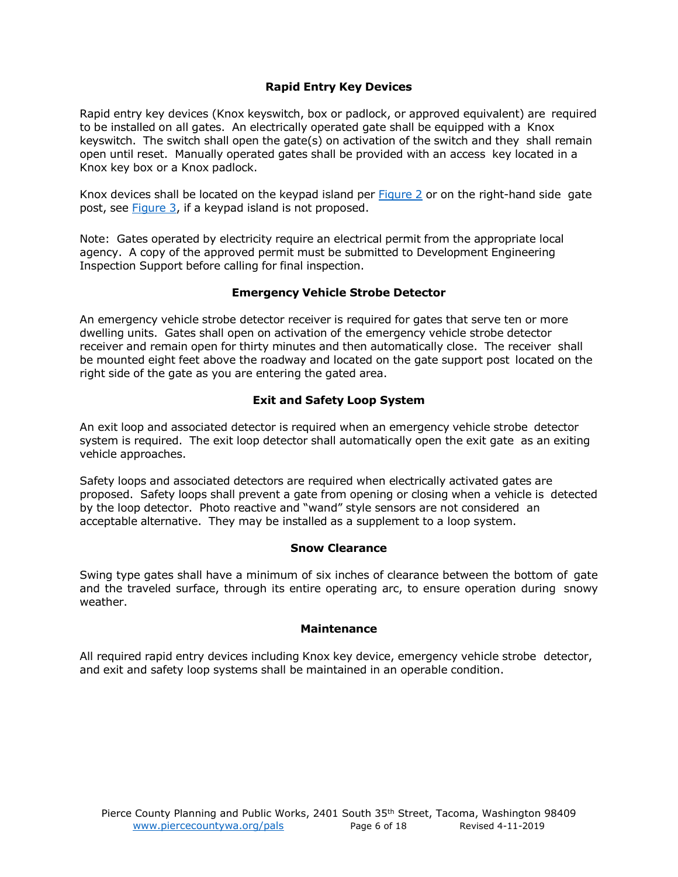#### **Rapid Entry Key Devices**

Rapid entry key devices (Knox keyswitch, box or padlock, or approved equivalent) are required to be installed on all gates. An electrically operated gate shall be equipped with a Knox keyswitch. The switch shall open the gate(s) on activation of the switch and they shall remain open until reset. Manually operated gates shall be provided with an access key located in a Knox key box or a Knox padlock.

Knox devices shall be located on the keypad island per [Figure](#page-14-0) 2 or on the right-hand side gate post, see [Figure](#page-15-0) 3, if a keypad island is not proposed.

Note: Gates operated by electricity require an electrical permit from the appropriate local agency. A copy of the approved permit must be submitted to Development Engineering Inspection Support before calling for final inspection.

#### **Emergency Vehicle Strobe Detector**

An emergency vehicle strobe detector receiver is required for gates that serve ten or more dwelling units. Gates shall open on activation of the emergency vehicle strobe detector receiver and remain open for thirty minutes and then automatically close. The receiver shall be mounted eight feet above the roadway and located on the gate support post located on the right side of the gate as you are entering the gated area.

#### **Exit and Safety Loop System**

An exit loop and associated detector is required when an emergency vehicle strobe detector system is required. The exit loop detector shall automatically open the exit gate as an exiting vehicle approaches.

Safety loops and associated detectors are required when electrically activated gates are proposed. Safety loops shall prevent a gate from opening or closing when a vehicle is detected by the loop detector. Photo reactive and "wand" style sensors are not considered an acceptable alternative. They may be installed as a supplement to a loop system.

#### **Snow Clearance**

Swing type gates shall have a minimum of six inches of clearance between the bottom of gate and the traveled surface, through its entire operating arc, to ensure operation during snowy weather.

#### **Maintenance**

All required rapid entry devices including Knox key device, emergency vehicle strobe detector, and exit and safety loop systems shall be maintained in an operable condition.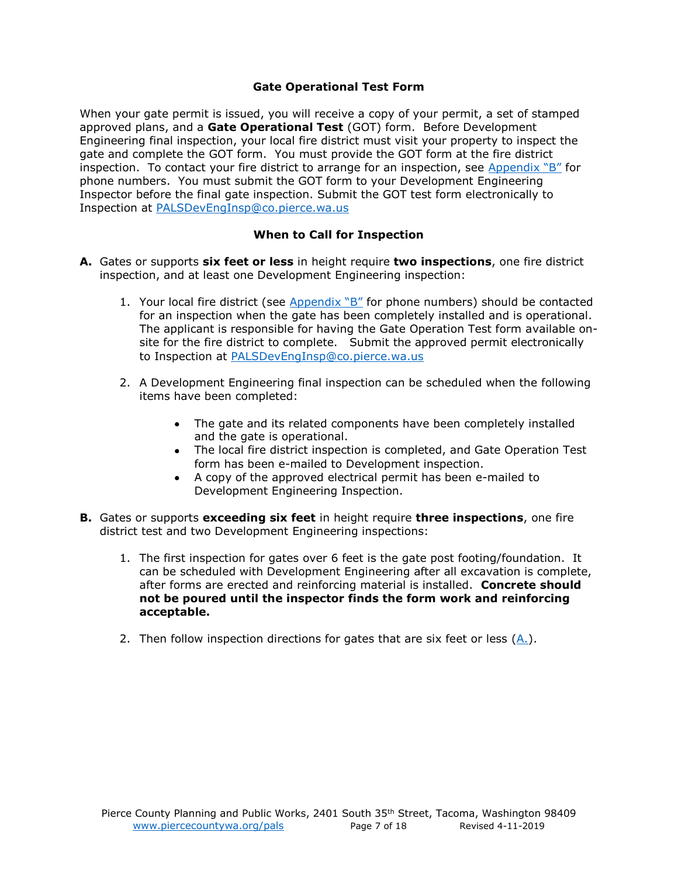#### **Gate Operational Test Form**

When your gate permit is issued, you will receive a copy of your permit, a set of stamped approved plans, and a **Gate Operational Test** (GOT) form. Before Development Engineering final inspection, your local fire district must visit your property to inspect the gate and complete the GOT form. You must provide the GOT form at the fire district inspection. To contact your fire district to arrange for an inspection, see [Appendix "B"](#page-9-0) for phone numbers. You must submit the GOT form to your Development Engineering Inspector before the final gate inspection. Submit the GOT test form electronically to Inspection at [PALSDevEngInsp@co.pierce.wa.us](mailto:PALSDevEngInsp@co.pierce.wa.us)

# **When to Call for Inspection**

- <span id="page-6-0"></span>**A.** Gates or supports **six feet or less** in height require **two inspections**, one fire district inspection, and at least one Development Engineering inspection:
	- 1. Your local fire district (see  $Appendix "B"$  for phone numbers) should be contacted for an inspection when the gate has been completely installed and is operational. The applicant is responsible for having the Gate Operation Test form available onsite for the fire district to complete. Submit the approved permit electronically to Inspection at [PALSDevEngInsp@co.pierce.wa.us](mailto:PALSDevEngInsp@co.pierce.wa.us)
	- 2. A Development Engineering final inspection can be scheduled when the following items have been completed:
		- The gate and its related components have been completely installed and the gate is operational.
		- The local fire district inspection is completed, and Gate Operation Test form has been e-mailed to Development inspection.
		- A copy of the approved electrical permit has been e-mailed to Development Engineering Inspection.
- **B.** Gates or supports **exceeding six feet** in height require **three inspections**, one fire district test and two Development Engineering inspections:
	- 1. The first inspection for gates over 6 feet is the gate post footing/foundation. It can be scheduled with Development Engineering after all excavation is complete, after forms are erected and reinforcing material is installed. **Concrete should not be poured until the inspector finds the form work and reinforcing acceptable.**
	- 2. Then follow inspection directions for gates that are six feet or less  $(A_1)$ .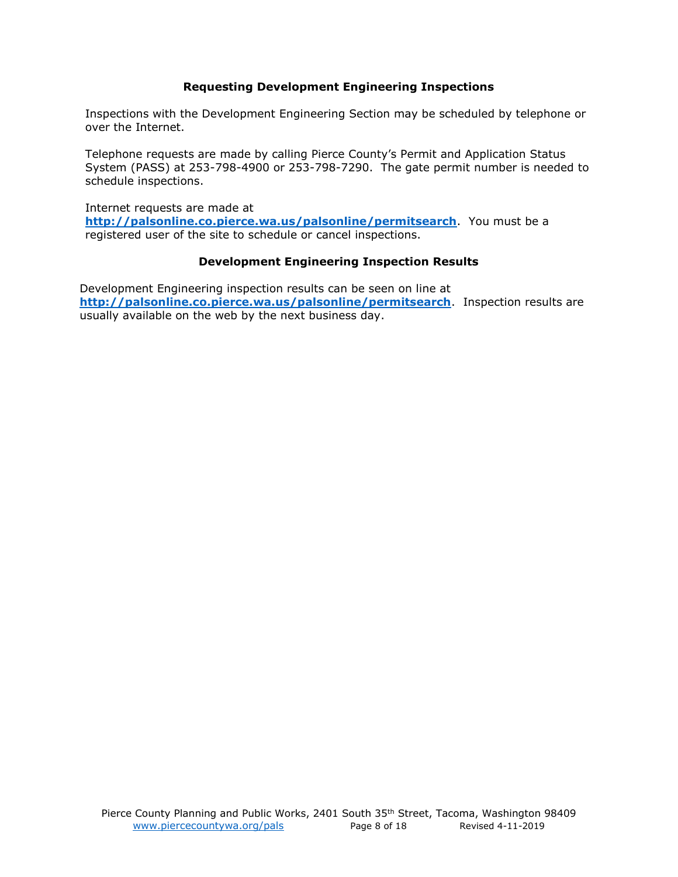#### **Requesting Development Engineering Inspections**

Inspections with the Development Engineering Section may be scheduled by telephone or over the Internet.

Telephone requests are made by calling Pierce County's Permit and Application Status System (PASS) at 253-798-4900 or 253-798-7290. The gate permit number is needed to schedule inspections.

Internet requests are made at **<http://palsonline.co.pierce.wa.us/palsonline/permitsearch>**. You must be a registered user of the site to schedule or cancel inspections.

#### **Development Engineering Inspection Results**

Development Engineering inspection results can be seen on line at **<http://palsonline.co.pierce.wa.us/palsonline/permitsearch>**. Inspection results are usually available on the web by the next business day.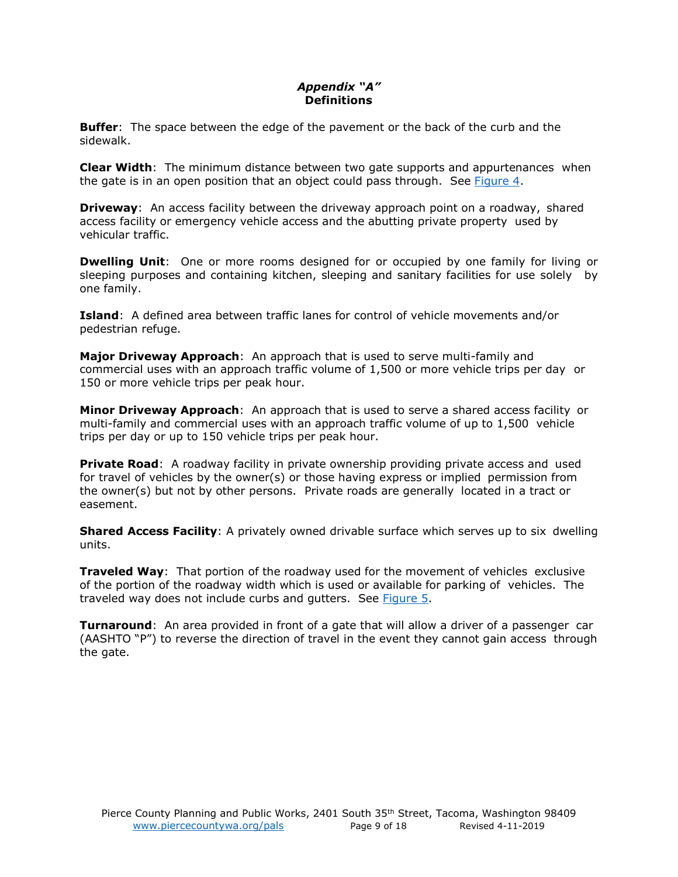# *Appendix "A"* **Definitions**

<span id="page-8-0"></span>**Buffer**: The space between the edge of the pavement or the back of the curb and the sidewalk.

**Clear Width**: The minimum distance between two gate supports and appurtenances when the gate is in an open position that an object could pass through. See [Figure](#page-16-0) 4.

**Driveway**: An access facility between the driveway approach point on a roadway, shared access facility or emergency vehicle access and the abutting private property used by vehicular traffic.

**Dwelling Unit**: One or more rooms designed for or occupied by one family for living or sleeping purposes and containing kitchen, sleeping and sanitary facilities for use solely by one family.

**Island**: A defined area between traffic lanes for control of vehicle movements and/or pedestrian refuge.

**Major Driveway Approach**: An approach that is used to serve multi-family and commercial uses with an approach traffic volume of 1,500 or more vehicle trips per day or 150 or more vehicle trips per peak hour.

**Minor Driveway Approach**: An approach that is used to serve a shared access facility or multi-family and commercial uses with an approach traffic volume of up to 1,500 vehicle trips per day or up to 150 vehicle trips per peak hour.

**Private Road**: A roadway facility in private ownership providing private access and used for travel of vehicles by the owner(s) or those having express or implied permission from the owner(s) but not by other persons. Private roads are generally located in a tract or easement.

**Shared Access Facility**: A privately owned drivable surface which serves up to six dwelling units.

**Traveled Way**: That portion of the roadway used for the movement of vehicles exclusive of the portion of the roadway width which is used or available for parking of vehicles. The traveled way does not include curbs and gutters. See [Figure](#page-17-0) 5.

**Turnaround**: An area provided in front of a gate that will allow a driver of a passenger car (AASHTO "P") to reverse the direction of travel in the event they cannot gain access through the gate.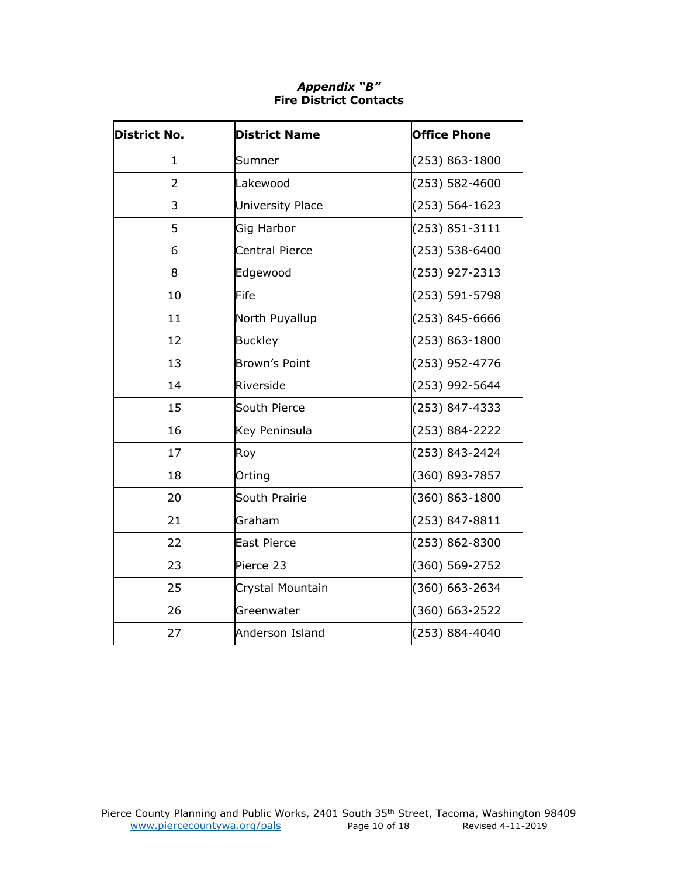# *Appendix "B"* **Fire District Contacts**

<span id="page-9-0"></span>

| <b>District No.</b> | <b>District Name</b>    | <b>Office Phone</b> |
|---------------------|-------------------------|---------------------|
| $\mathbf{1}$        | Sumner                  | (253) 863-1800      |
| $\overline{2}$      | Lakewood                | (253) 582-4600      |
| 3                   | <b>University Place</b> | (253) 564-1623      |
| 5                   | Gig Harbor              | (253) 851-3111      |
| 6                   | <b>Central Pierce</b>   | (253) 538-6400      |
| 8                   | Edgewood                | (253) 927-2313      |
| 10                  | Fife                    | (253) 591-5798      |
| 11                  | North Puyallup          | (253) 845-6666      |
| 12                  | <b>Buckley</b>          | (253) 863-1800      |
| 13                  | <b>Brown's Point</b>    | (253) 952-4776      |
| 14                  | Riverside               | (253) 992-5644      |
| 15                  | South Pierce            | (253) 847-4333      |
| 16                  | Key Peninsula           | (253) 884-2222      |
| 17                  | Roy                     | (253) 843-2424      |
| 18                  | Orting                  | (360) 893-7857      |
| 20                  | South Prairie           | (360) 863-1800      |
| 21                  | Graham                  | (253) 847-8811      |
| 22                  | <b>East Pierce</b>      | (253) 862-8300      |
| 23                  | Pierce 23               | (360) 569-2752      |
| 25                  | Crystal Mountain        | (360) 663-2634      |
| 26                  | Greenwater              | (360) 663-2522      |
| 27                  | Anderson Island         | (253) 884-4040      |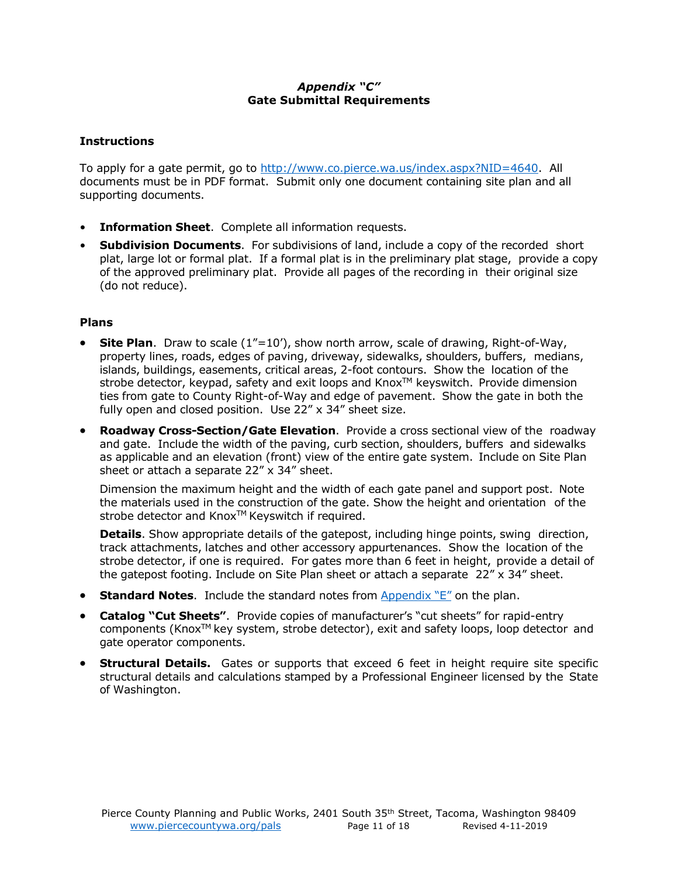# *Appendix "C"* **Gate Submittal Requirements**

#### <span id="page-10-0"></span>**Instructions**

To apply for a gate permit, go to [http://www.co.pierce.wa.us/index.aspx?NID=4640.](http://www.co.pierce.wa.us/index.aspx?NID=4640) All documents must be in PDF format. Submit only one document containing site plan and all supporting documents.

- **Information Sheet**. Complete all information requests.
- **Subdivision Documents**. For subdivisions of land, include a copy of the recorded short plat, large lot or formal plat. If a formal plat is in the preliminary plat stage, provide a copy of the approved preliminary plat. Provide all pages of the recording in their original size (do not reduce).

#### **Plans**

- **Site Plan**. Draw to scale (1"=10'), show north arrow, scale of drawing, Right-of-Way, property lines, roads, edges of paving, driveway, sidewalks, shoulders, buffers, medians, islands, buildings, easements, critical areas, 2-foot contours. Show the location of the strobe detector, keypad, safety and exit loops and Knox™ keyswitch. Provide dimension ties from gate to County Right-of-Way and edge of pavement. Show the gate in both the fully open and closed position. Use 22" x 34" sheet size.
- **Roadway Cross-Section/Gate Elevation**. Provide a cross sectional view of the roadway and gate. Include the width of the paving, curb section, shoulders, buffers and sidewalks as applicable and an elevation (front) view of the entire gate system. Include on Site Plan sheet or attach a separate 22" x 34" sheet.

Dimension the maximum height and the width of each gate panel and support post. Note the materials used in the construction of the gate. Show the height and orientation of the strobe detector and Knox<sup>™</sup> Keyswitch if required.

**Details**. Show appropriate details of the gatepost, including hinge points, swing direction, track attachments, latches and other accessory appurtenances. Show the location of the strobe detector, if one is required. For gates more than 6 feet in height, provide a detail of the gatepost footing. Include on Site Plan sheet or attach a separate  $22'' \times 34''$  sheet.

- **Standard Notes**. Include the standard notes from [Appendix](#page-12-0) "E" on the plan.
- **Catalog "Cut Sheets"**. Provide copies of manufacturer's "cut sheets" for rapid-entry components (Knox<sup>TM</sup> key system, strobe detector), exit and safety loops, loop detector and gate operator components.
- **Structural Details.** Gates or supports that exceed 6 feet in height require site specific structural details and calculations stamped by a Professional Engineer licensed by the State of Washington.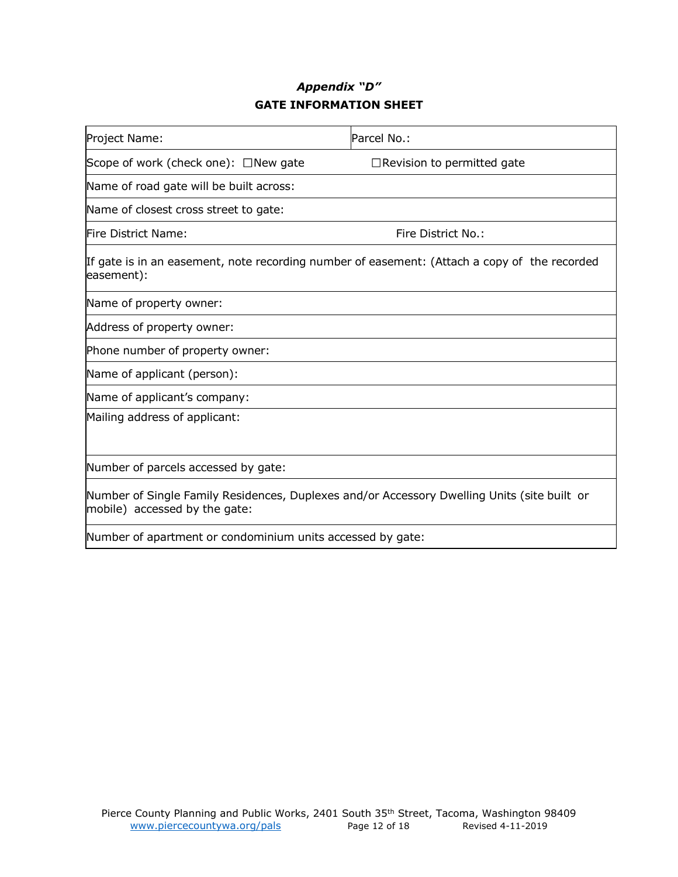# *Appendix "D"* **GATE INFORMATION SHEET**

<span id="page-11-0"></span>

| Project Name:                                                                                                                | Parcel No.:                                                                                  |  |  |
|------------------------------------------------------------------------------------------------------------------------------|----------------------------------------------------------------------------------------------|--|--|
| Scope of work (check one): $\Box$ New gate                                                                                   | $\Box$ Revision to permitted gate                                                            |  |  |
| Name of road gate will be built across:                                                                                      |                                                                                              |  |  |
| Name of closest cross street to gate:                                                                                        |                                                                                              |  |  |
| Fire District Name:                                                                                                          | Fire District No.:                                                                           |  |  |
| easement):                                                                                                                   | If gate is in an easement, note recording number of easement: (Attach a copy of the recorded |  |  |
| Name of property owner:                                                                                                      |                                                                                              |  |  |
| Address of property owner:                                                                                                   |                                                                                              |  |  |
| Phone number of property owner:                                                                                              |                                                                                              |  |  |
| Name of applicant (person):                                                                                                  |                                                                                              |  |  |
| Name of applicant's company:                                                                                                 |                                                                                              |  |  |
| Mailing address of applicant:                                                                                                |                                                                                              |  |  |
|                                                                                                                              |                                                                                              |  |  |
| Number of parcels accessed by gate:                                                                                          |                                                                                              |  |  |
| Number of Single Family Residences, Duplexes and/or Accessory Dwelling Units (site built or<br>mobile) accessed by the gate: |                                                                                              |  |  |
| Number of apartment or condominium units accessed by gate:                                                                   |                                                                                              |  |  |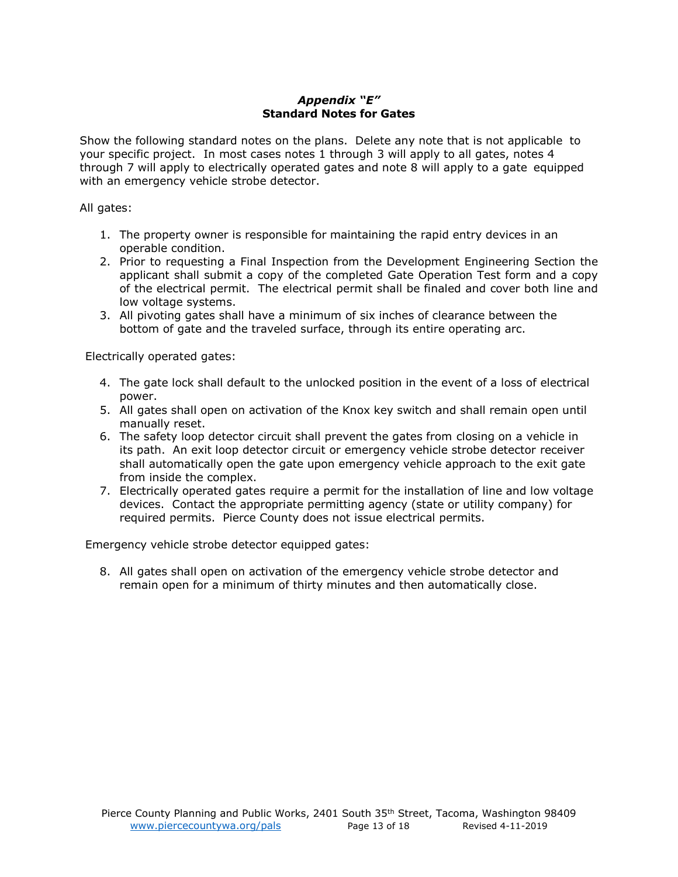#### *Appendix "E"* **Standard Notes for Gates**

<span id="page-12-0"></span>Show the following standard notes on the plans. Delete any note that is not applicable to your specific project. In most cases notes 1 through 3 will apply to all gates, notes 4 through 7 will apply to electrically operated gates and note 8 will apply to a gate equipped with an emergency vehicle strobe detector.

All gates:

- 1. The property owner is responsible for maintaining the rapid entry devices in an operable condition.
- 2. Prior to requesting a Final Inspection from the Development Engineering Section the applicant shall submit a copy of the completed Gate Operation Test form and a copy of the electrical permit. The electrical permit shall be finaled and cover both line and low voltage systems.
- 3. All pivoting gates shall have a minimum of six inches of clearance between the bottom of gate and the traveled surface, through its entire operating arc.

Electrically operated gates:

- 4. The gate lock shall default to the unlocked position in the event of a loss of electrical power.
- 5. All gates shall open on activation of the Knox key switch and shall remain open until manually reset.
- 6. The safety loop detector circuit shall prevent the gates from closing on a vehicle in its path. An exit loop detector circuit or emergency vehicle strobe detector receiver shall automatically open the gate upon emergency vehicle approach to the exit gate from inside the complex.
- 7. Electrically operated gates require a permit for the installation of line and low voltage devices. Contact the appropriate permitting agency (state or utility company) for required permits. Pierce County does not issue electrical permits.

Emergency vehicle strobe detector equipped gates:

8. All gates shall open on activation of the emergency vehicle strobe detector and remain open for a minimum of thirty minutes and then automatically close.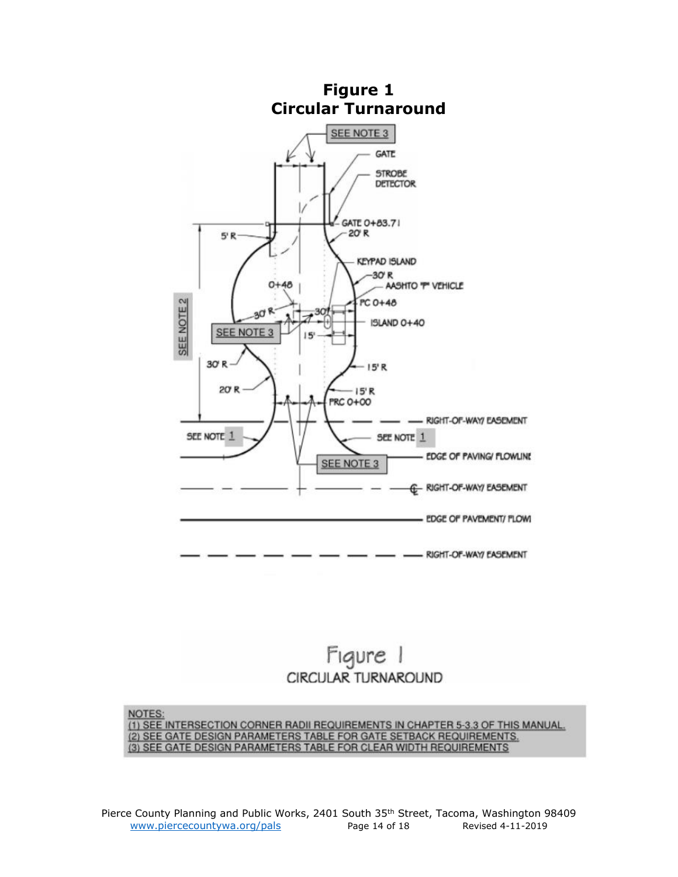<span id="page-13-0"></span>

# Figure 1 CIRCULAR TURNAROUND

NOTES: (1) SEE INTERSECTION CORNER RADII REQUIREMENTS IN CHAPTER 5-3.3 OF THIS MANUAL. (2) SEE GATE DESIGN PARAMETERS TABLE FOR GATE SETBACK REQUIREMENTS.<br>(3) SEE GATE DESIGN PARAMETERS TABLE FOR CLEAR WIDTH REQUIREMENTS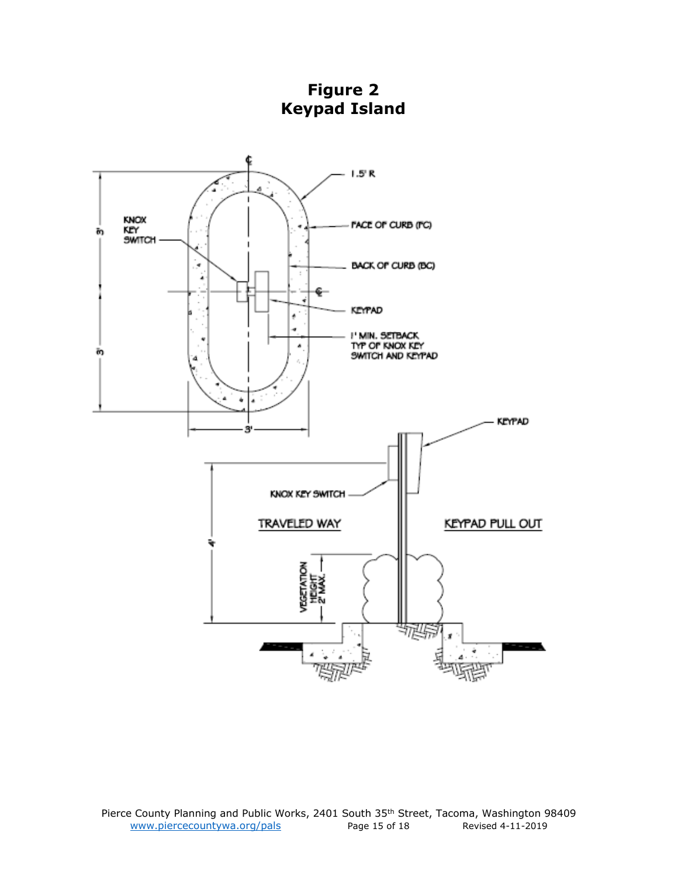<span id="page-14-0"></span>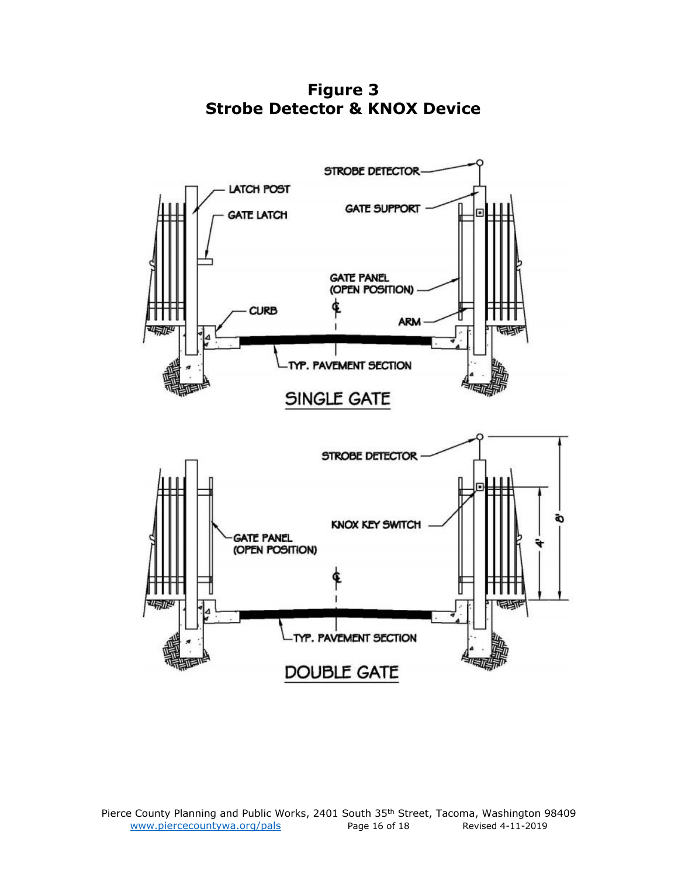**Figure 3 Strobe Detector & KNOX Device**

<span id="page-15-0"></span>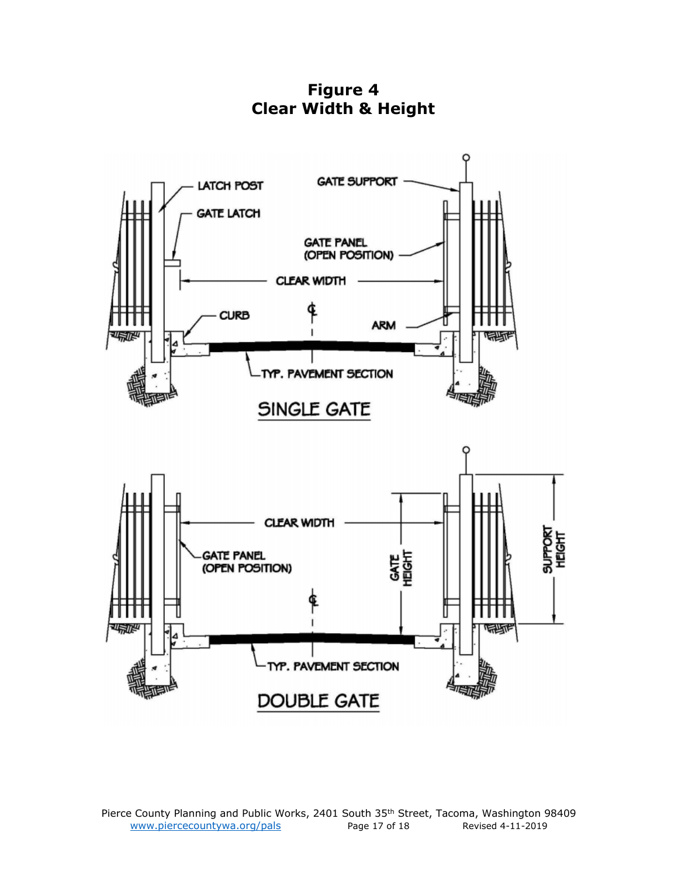**Figure 4 Clear Width & Height**

<span id="page-16-0"></span>